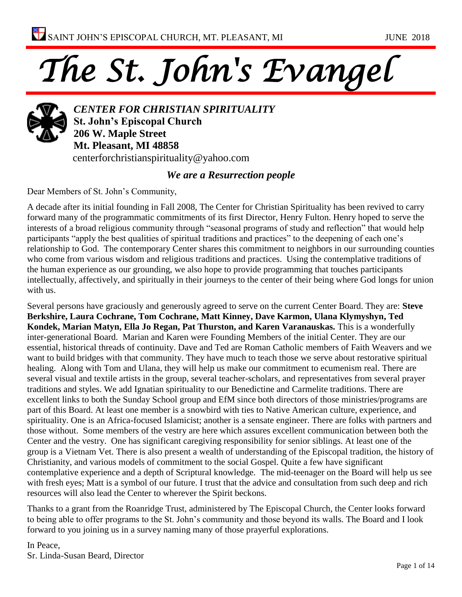# *The St. John's Evangel*



*CENTER FOR CHRISTIAN SPIRITUALITY* **St. John's Episcopal Church 206 W. Maple Street Mt. Pleasant, MI 48858** centerforchristianspirituality@yahoo.com

#### *We are a Resurrection people*

Dear Members of St. John's Community,

A decade after its initial founding in Fall 2008, The Center for Christian Spirituality has been revived to carry forward many of the programmatic commitments of its first Director, Henry Fulton. Henry hoped to serve the interests of a broad religious community through "seasonal programs of study and reflection" that would help participants "apply the best qualities of spiritual traditions and practices" to the deepening of each one's relationship to God. The contemporary Center shares this commitment to neighbors in our surrounding counties who come from various wisdom and religious traditions and practices. Using the contemplative traditions of the human experience as our grounding, we also hope to provide programming that touches participants intellectually, affectively, and spiritually in their journeys to the center of their being where God longs for union with us.

Several persons have graciously and generously agreed to serve on the current Center Board. They are: **Steve Berkshire, Laura Cochrane, Tom Cochrane, Matt Kinney, Dave Karmon, Ulana Klymyshyn, Ted Kondek, Marian Matyn, Ella Jo Regan, Pat Thurston, and Karen Varanauskas.** This is a wonderfully inter-generational Board. Marian and Karen were Founding Members of the initial Center. They are our essential, historical threads of continuity. Dave and Ted are Roman Catholic members of Faith Weavers and we want to build bridges with that community. They have much to teach those we serve about restorative spiritual healing. Along with Tom and Ulana, they will help us make our commitment to ecumenism real. There are several visual and textile artists in the group, several teacher-scholars, and representatives from several prayer traditions and styles. We add Ignatian spirituality to our Benedictine and Carmelite traditions. There are excellent links to both the Sunday School group and EfM since both directors of those ministries/programs are part of this Board. At least one member is a snowbird with ties to Native American culture, experience, and spirituality. One is an Africa-focused Islamicist; another is a sensate engineer. There are folks with partners and those without. Some members of the vestry are here which assures excellent communication between both the Center and the vestry. One has significant caregiving responsibility for senior siblings. At least one of the group is a Vietnam Vet. There is also present a wealth of understanding of the Episcopal tradition, the history of Christianity, and various models of commitment to the social Gospel. Quite a few have significant contemplative experience and a depth of Scriptural knowledge. The mid-teenager on the Board will help us see with fresh eyes; Matt is a symbol of our future. I trust that the advice and consultation from such deep and rich resources will also lead the Center to wherever the Spirit beckons.

Thanks to a grant from the Roanridge Trust, administered by The Episcopal Church, the Center looks forward to being able to offer programs to the St. John's community and those beyond its walls. The Board and I look forward to you joining us in a survey naming many of those prayerful explorations.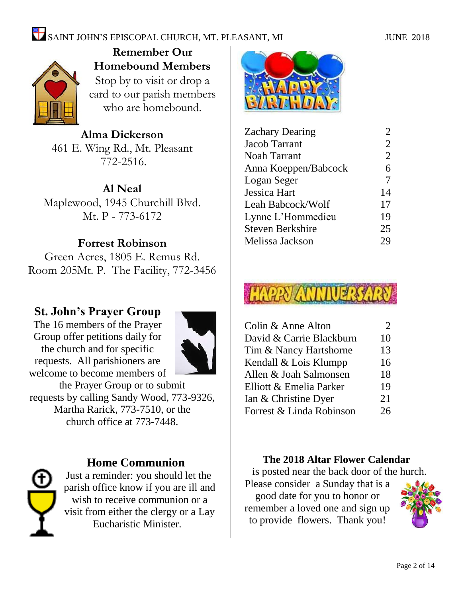#### SAINT JOHN'S EPISCOPAL CHURCH, MT. PLEASANT, MI JUNE 2018



**Remember Our Homebound Members** Stop by to visit or drop a card to our parish members who are homebound.

**Alma Dickerson** 461 E. Wing Rd., Mt. Pleasant 772-2516.

**Al Neal** Maplewood, 1945 Churchill Blvd. Mt. P - 773-6172

#### **Forrest Robinson**

Green Acres, 1805 E. Remus Rd. Room 205Mt. P. The Facility, 772-3456

#### **St. John's Prayer Group**

The 16 members of the Prayer Group offer petitions daily for the church and for specific requests. All parishioners are welcome to become members of



the Prayer Group or to submit requests by calling Sandy Wood, 773-9326, Martha Rarick, 773-7510, or the church office at 773-7448.



#### **Home Communion**

Just a reminder: you should let the parish office know if you are ill and wish to receive communion or a visit from either the clergy or a Lay Eucharistic Minister.



| <b>Zachary Dearing</b>  |                |
|-------------------------|----------------|
| <b>Jacob Tarrant</b>    | $\overline{2}$ |
| <b>Noah Tarrant</b>     | $\overline{2}$ |
| Anna Koeppen/Babcock    | 6              |
| Logan Seger             | 7              |
| <b>Jessica Hart</b>     | 14             |
| Leah Babcock/Wolf       | 17             |
| Lynne L'Hommedieu       | 19             |
| <b>Steven Berkshire</b> | 25             |
| Melissa Jackson         | 29             |
|                         |                |



| Colin & Anne Alton       | 2  |
|--------------------------|----|
| David & Carrie Blackburn | 10 |
| Tim & Nancy Hartshorne   | 13 |
| Kendall & Lois Klumpp    | 16 |
| Allen & Joah Salmonsen   | 18 |
| Elliott & Emelia Parker  | 19 |
| Ian & Christine Dyer     | 21 |
| Forrest & Linda Robinson | 26 |
|                          |    |

#### **The 2018 Altar Flower Calendar**

is posted near the back door of the hurch.

Please consider a Sunday that is a good date for you to honor or remember a loved one and sign up to provide flowers. Thank you!

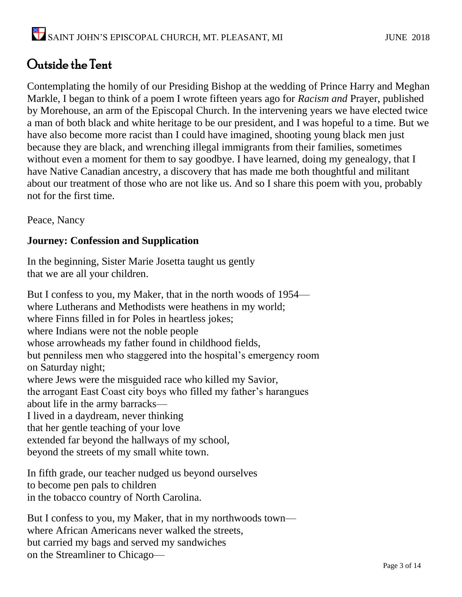#### Outside the Tent

Contemplating the homily of our Presiding Bishop at the wedding of Prince Harry and Meghan Markle, I began to think of a poem I wrote fifteen years ago for *Racism and* Prayer, published by Morehouse, an arm of the Episcopal Church. In the intervening years we have elected twice a man of both black and white heritage to be our president, and I was hopeful to a time. But we have also become more racist than I could have imagined, shooting young black men just because they are black, and wrenching illegal immigrants from their families, sometimes without even a moment for them to say goodbye. I have learned, doing my genealogy, that I have Native Canadian ancestry, a discovery that has made me both thoughtful and militant about our treatment of those who are not like us. And so I share this poem with you, probably not for the first time.

Peace, Nancy

#### **Journey: Confession and Supplication**

In the beginning, Sister Marie Josetta taught us gently that we are all your children.

But I confess to you, my Maker, that in the north woods of 1954 where Lutherans and Methodists were heathens in my world; where Finns filled in for Poles in heartless jokes; where Indians were not the noble people whose arrowheads my father found in childhood fields, but penniless men who staggered into the hospital's emergency room on Saturday night; where Jews were the misguided race who killed my Savior, the arrogant East Coast city boys who filled my father's harangues about life in the army barracks— I lived in a daydream, never thinking that her gentle teaching of your love extended far beyond the hallways of my school, beyond the streets of my small white town.

In fifth grade, our teacher nudged us beyond ourselves to become pen pals to children in the tobacco country of North Carolina.

But I confess to you, my Maker, that in my northwoods town where African Americans never walked the streets, but carried my bags and served my sandwiches on the Streamliner to Chicago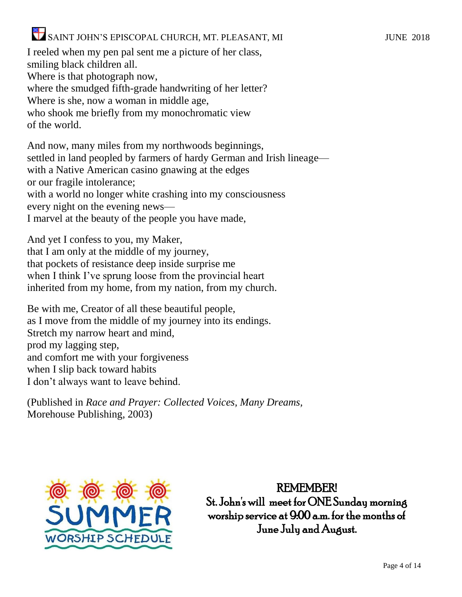I reeled when my pen pal sent me a picture of her class, smiling black children all. Where is that photograph now, where the smudged fifth-grade handwriting of her letter? Where is she, now a woman in middle age, who shook me briefly from my monochromatic view of the world.

And now, many miles from my northwoods beginnings, settled in land peopled by farmers of hardy German and Irish lineage with a Native American casino gnawing at the edges or our fragile intolerance; with a world no longer white crashing into my consciousness every night on the evening news— I marvel at the beauty of the people you have made,

And yet I confess to you, my Maker, that I am only at the middle of my journey, that pockets of resistance deep inside surprise me when I think I've sprung loose from the provincial heart inherited from my home, from my nation, from my church.

Be with me, Creator of all these beautiful people, as I move from the middle of my journey into its endings. Stretch my narrow heart and mind, prod my lagging step, and comfort me with your forgiveness when I slip back toward habits I don't always want to leave behind.

(Published in *Race and Prayer: Collected Voices, Many Dreams,* Morehouse Publishing, 2003)



REMEMBER! St. John's will meet for ONE Sunday morning worship service at 9:00 a.m. for the months of June July and August.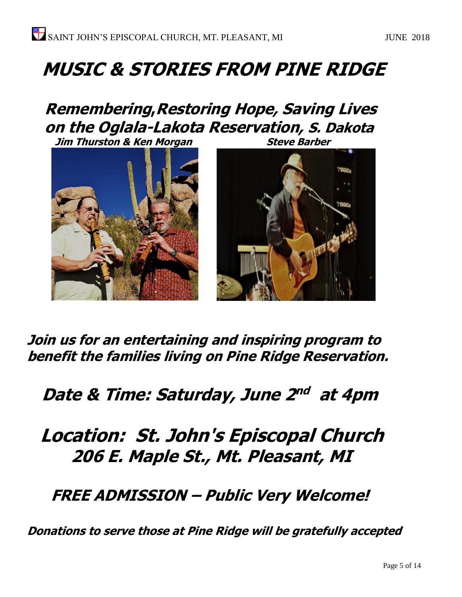## **MUSIC & STORIES FROM PINE RIDGE**

### **Remembering,Restoring Hope, Saving Lives on the Oglala-Lakota Reservation, S. Dakota**

**Jim Thurston & Ken Morgan Steve Barber** 



**Join us for an entertaining and inspiring program to benefit the families living on Pine Ridge Reservation.**

#### Date & Time: Saturday, June 2<sup>nd</sup> at 4pm

### **Location: St. John's Episcopal Church 206 E. Maple St., Mt. Pleasant, MI**

 **FREE ADMISSION – Public Very Welcome!**

**Donations to serve those at Pine Ridge will be gratefully accepted**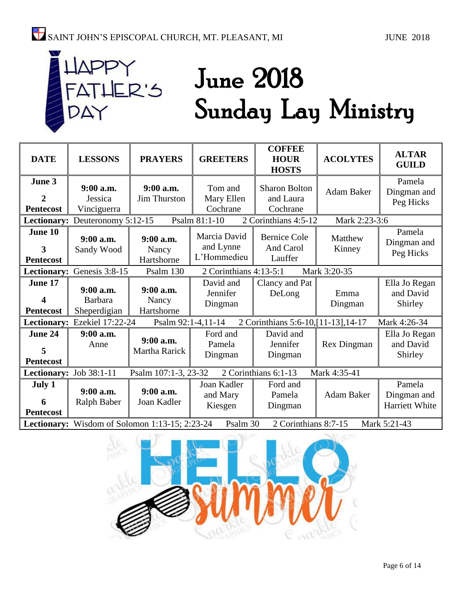# ER'S

## June 2018 Sunday Lay Ministry

| <b>DATE</b>                                                                                        | <b>LESSONS</b>                              | <b>PRAYERS</b>                     | <b>GREETERS</b>                          | <b>COFFEE</b><br><b>HOUR</b><br><b>HOSTS</b>  | <b>ACOLYTES</b>   | <b>ALTAR</b><br><b>GUILD</b>            |
|----------------------------------------------------------------------------------------------------|---------------------------------------------|------------------------------------|------------------------------------------|-----------------------------------------------|-------------------|-----------------------------------------|
| June 3<br>$\overline{2}$<br><b>Pentecost</b>                                                       | 9:00 a.m.<br>Jessica<br>Vinciguerra         | 9:00 a.m.<br><b>Jim Thurston</b>   | Tom and<br>Mary Ellen<br>Cochrane        | <b>Sharon Bolton</b><br>and Laura<br>Cochrane | <b>Adam Baker</b> | Pamela<br>Dingman and<br>Peg Hicks      |
| Lectionary:                                                                                        | Deuteronomy 5:12-15                         |                                    | Psalm 81:1-10                            | 2 Corinthians 4:5-12                          | Mark 2:23-3:6     |                                         |
| June 10<br>3<br><b>Pentecost</b>                                                                   | $9:00$ a.m.<br>Sandy Wood                   | $9:00$ a.m.<br>Nancy<br>Hartshorne | Marcia David<br>and Lynne<br>L'Hommedieu | <b>Bernice Cole</b><br>And Carol<br>Lauffer   | Matthew<br>Kinney | Pamela<br>Dingman and<br>Peg Hicks      |
|                                                                                                    | Lectionary: Genesis 3:8-15                  | Psalm 130                          | 2 Corinthians 4:13-5:1                   |                                               | Mark 3:20-35      |                                         |
| June 17<br>4<br><b>Pentecost</b>                                                                   | 9:00 a.m.<br><b>Barbara</b><br>Sheperdigian | $9:00$ a.m.<br>Nancy<br>Hartshorne | David and<br>Jennifer<br>Dingman         | Clancy and Pat<br>DeLong                      | Emma<br>Dingman   | Ella Jo Regan<br>and David<br>Shirley   |
|                                                                                                    | Lectionary: Ezekiel 17:22-24                | Psalm 92:1-4,11-14                 |                                          | 2 Corinthians 5:6-10, [11-13], 14-17          |                   | Mark 4:26-34                            |
| June 24<br>5<br><b>Pentecost</b>                                                                   | 9:00 a.m.<br>Anne                           | 9:00 a.m.<br>Martha Rarick         | Ford and<br>Pamela<br>Dingman            | David and<br>Jennifer<br>Dingman              | Rex Dingman       | Ella Jo Regan<br>and David<br>Shirley   |
| 2 Corinthians 6:1-13<br>Psalm 107:1-3, 23-32<br>Mark 4:35-41<br>Lectionary: Job 38:1-11            |                                             |                                    |                                          |                                               |                   |                                         |
| July 1<br>6<br><b>Pentecost</b>                                                                    | 9:00 a.m.<br>Ralph Baber                    | $9:00$ a.m.<br>Joan Kadler         | Joan Kadler<br>and Mary<br>Kiesgen       | Ford and<br>Pamela<br>Dingman                 | Adam Baker        | Pamela<br>Dingman and<br>Harriett White |
| 2 Corinthians 8:7-15<br>Lectionary: Wisdom of Solomon 1:13-15; 2:23-24<br>Psalm 30<br>Mark 5:21-43 |                                             |                                    |                                          |                                               |                   |                                         |

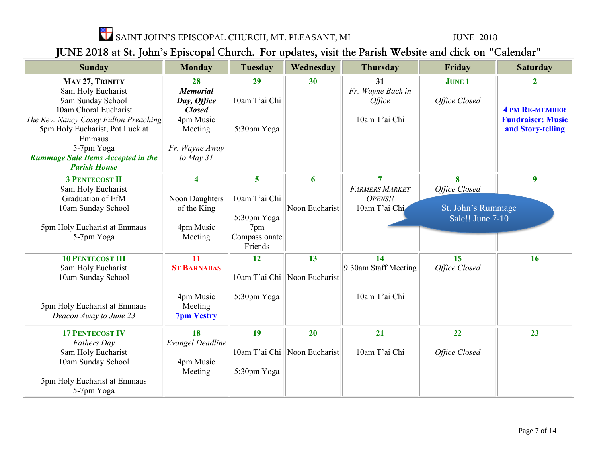

#### JUNE 2018 at St. John's Episcopal Church. For updates, visit the Parish Website and click on "Calendar"

| <b>Sunday</b>                              | <b>Monday</b>           | <b>Tuesday</b>           | Wednesday                      | <b>Thursday</b>       | Friday             | <b>Saturday</b>          |
|--------------------------------------------|-------------------------|--------------------------|--------------------------------|-----------------------|--------------------|--------------------------|
| MAY 27, TRINITY                            | 28                      | 29                       | 30                             | 31                    | <b>JUNE 1</b>      | 2                        |
| 8am Holy Eucharist                         | <b>Memorial</b>         |                          |                                | Fr. Wayne Back in     |                    |                          |
| 9am Sunday School                          | Day, Office             | 10am T'ai Chi            |                                | Office                | Office Closed      |                          |
| 10am Choral Eucharist                      | <b>Closed</b>           |                          |                                |                       |                    | <b>4 PM RE-MEMBER</b>    |
| The Rev. Nancy Casey Fulton Preaching      | 4pm Music               |                          |                                | 10am T'ai Chi         |                    | <b>Fundraiser: Music</b> |
| 5pm Holy Eucharist, Pot Luck at<br>Emmaus  | Meeting                 | 5:30pm Yoga              |                                |                       |                    | and Story-telling        |
| 5-7pm Yoga                                 | Fr. Wayne Away          |                          |                                |                       |                    |                          |
| <b>Rummage Sale Items Accepted in the</b>  | to May 31               |                          |                                |                       |                    |                          |
| <b>Parish House</b>                        |                         |                          |                                |                       |                    |                          |
| <b>3 PENTECOST II</b>                      | $\overline{\mathbf{4}}$ | 5                        | 6                              | $\overline{7}$        | 8                  | $\overline{9}$           |
| 9am Holy Eucharist                         |                         |                          |                                | <b>FARMERS MARKET</b> | Office Closed      |                          |
| Graduation of EfM                          | Noon Daughters          | 10am T'ai Chi            |                                | OPENS!!               |                    |                          |
| 10am Sunday School                         | of the King             |                          | Noon Eucharist                 | 10am T'ai Chi         | St. John's Rummage |                          |
|                                            |                         | 5:30pm Yoga              |                                |                       | Sale!! June 7-10   |                          |
| 5pm Holy Eucharist at Emmaus               | 4pm Music               | 7pm                      |                                |                       |                    |                          |
| 5-7pm Yoga                                 | Meeting                 | Compassionate<br>Friends |                                |                       |                    |                          |
|                                            |                         |                          |                                |                       |                    |                          |
| <b>10 PENTECOST III</b>                    | 11                      | 12                       | 13                             | 14                    | 15                 | 16                       |
| 9am Holy Eucharist                         | <b>ST BARNABAS</b>      |                          | 10am T'ai Chi   Noon Eucharist | 9:30am Staff Meeting  | Office Closed      |                          |
| 10am Sunday School                         |                         |                          |                                |                       |                    |                          |
|                                            | 4pm Music               | 5:30pm Yoga              |                                | 10am T'ai Chi         |                    |                          |
| 5pm Holy Eucharist at Emmaus               | Meeting                 |                          |                                |                       |                    |                          |
| Deacon Away to June 23                     | <b>7pm Vestry</b>       |                          |                                |                       |                    |                          |
|                                            |                         |                          |                                |                       |                    |                          |
| <b>17 PENTECOST IV</b>                     | 18                      | 19                       | 20                             | 21                    | 22                 | 23                       |
| <b>Fathers Day</b>                         | <b>Evangel Deadline</b> |                          |                                |                       |                    |                          |
| 9am Holy Eucharist                         |                         |                          | 10am T'ai Chi   Noon Eucharist | 10am T'ai Chi         | Office Closed      |                          |
| 10am Sunday School                         | 4pm Music               |                          |                                |                       |                    |                          |
|                                            | Meeting                 | 5:30pm Yoga              |                                |                       |                    |                          |
| 5pm Holy Eucharist at Emmaus<br>5-7pm Yoga |                         |                          |                                |                       |                    |                          |
|                                            |                         |                          |                                |                       |                    |                          |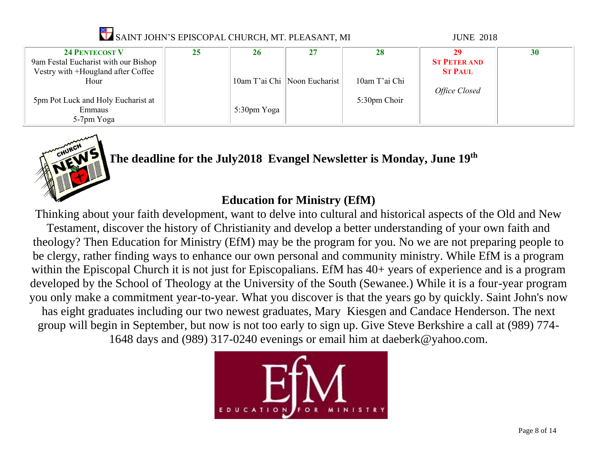| SAINT JOHN'S EPISCOPAL CHURCH, MT. PLEASANT, MI                                                     |    |             |                                |               | <b>JUNE 2018</b>                            |    |
|-----------------------------------------------------------------------------------------------------|----|-------------|--------------------------------|---------------|---------------------------------------------|----|
| <b>24 PENTECOST V</b><br>9am Festal Eucharist with our Bishop<br>Vestry with +Hougland after Coffee | 25 | 26          | 27                             | 28            | 29<br><b>ST PETER AND</b><br><b>ST PAUL</b> | 30 |
| Hour                                                                                                |    |             | 10am T'ai Chi   Noon Eucharist | 10am T'ai Chi | Office Closed                               |    |
| 5pm Pot Luck and Holy Eucharist at<br>Emmaus<br>5-7pm Yoga                                          |    | 5:30pm Yoga |                                | 5:30pm Choir  |                                             |    |



#### **The deadline for the July2018 Evangel Newsletter is Monday, June 19th**

#### **Education for Ministry (EfM)**

Thinking about your faith development, want to delve into cultural and historical aspects of the Old and New Testament, discover the history of Christianity and develop a better understanding of your own faith and theology? Then Education for Ministry (EfM) may be the program for you. No we are not preparing people to be clergy, rather finding ways to enhance our own personal and community ministry. While EfM is a program within the Episcopal Church it is not just for Episcopalians. EfM has  $40+$  years of experience and is a program developed by the School of Theology at the University of the South (Sewanee.) While it is a four-year program you only make a commitment year-to-year. What you discover is that the years go by quickly. Saint John's now has eight graduates including our two newest graduates, Mary Kiesgen and Candace Henderson. The next group will begin in September, but now is not too early to sign up. Give Steve Berkshire a call at (989) 774- 1648 days and (989) 317-0240 evenings or email him at [daeberk@yahoo.com.](mailto:daeberk@yahoo.com)

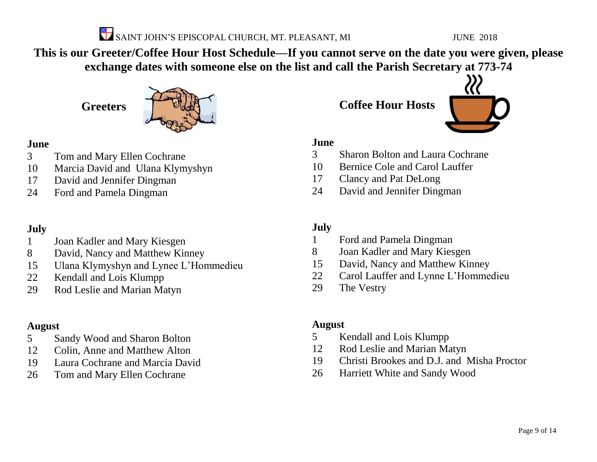

**This is our Greeter/Coffee Hour Host Schedule—If you cannot serve on the date you were given, please exchange dates with someone else on the list and call the Parish Secretary at 773-74**

**Greeters**



#### **June**

- Tom and Mary Ellen Cochrane
- Marcia David and Ulana Klymyshyn
- David and Jennifer Dingman
- Ford and Pamela Dingman

#### **July**

- Joan Kadler and Mary Kiesgen
- David, Nancy and Matthew Kinney
- Ulana Klymyshyn and Lynee L'Hommedieu
- Kendall and Lois Klumpp
- Rod Leslie and Marian Matyn

#### **August**

- Sandy Wood and Sharon Bolton
- Colin, Anne and Matthew Alton
- Laura Cochrane and Marcia David
- Tom and Mary Ellen Cochrane

**Coffee Hour Hosts**



#### **June**

- Sharon Bolton and Laura Cochrane
- Bernice Cole and Carol Lauffer
- Clancy and Pat DeLong
- David and Jennifer Dingman

#### **July**

- Ford and Pamela Dingman
- Joan Kadler and Mary Kiesgen
- David, Nancy and Matthew Kinney
- Carol Lauffer and Lynne L'Hommedieu
- The Vestry

#### **August**

- Kendall and Lois Klumpp
- Rod Leslie and Marian Matyn
- Christi Brookes and D.J. and Misha Proctor
- Harriett White and Sandy Wood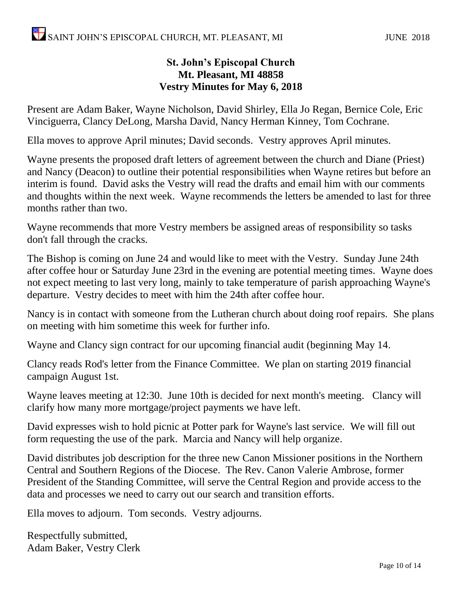#### **St. John's Episcopal Church Mt. Pleasant, MI 48858 Vestry Minutes for May 6, 2018**

Present are Adam Baker, Wayne Nicholson, David Shirley, Ella Jo Regan, Bernice Cole, Eric Vinciguerra, Clancy DeLong, Marsha David, Nancy Herman Kinney, Tom Cochrane.

Ella moves to approve April minutes; David seconds. Vestry approves April minutes.

Wayne presents the proposed draft letters of agreement between the church and Diane (Priest) and Nancy (Deacon) to outline their potential responsibilities when Wayne retires but before an interim is found. David asks the Vestry will read the drafts and email him with our comments and thoughts within the next week. Wayne recommends the letters be amended to last for three months rather than two.

Wayne recommends that more Vestry members be assigned areas of responsibility so tasks don't fall through the cracks.

The Bishop is coming on June 24 and would like to meet with the Vestry. Sunday June 24th after coffee hour or Saturday June 23rd in the evening are potential meeting times. Wayne does not expect meeting to last very long, mainly to take temperature of parish approaching Wayne's departure. Vestry decides to meet with him the 24th after coffee hour.

Nancy is in contact with someone from the Lutheran church about doing roof repairs. She plans on meeting with him sometime this week for further info.

Wayne and Clancy sign contract for our upcoming financial audit (beginning May 14.

Clancy reads Rod's letter from the Finance Committee. We plan on starting 2019 financial campaign August 1st.

Wayne leaves meeting at 12:30. June 10th is decided for next month's meeting. Clancy will clarify how many more mortgage/project payments we have left.

David expresses wish to hold picnic at Potter park for Wayne's last service. We will fill out form requesting the use of the park. Marcia and Nancy will help organize.

David distributes job description for the three new Canon Missioner positions in the Northern Central and Southern Regions of the Diocese. The Rev. Canon Valerie Ambrose, former President of the Standing Committee, will serve the Central Region and provide access to the data and processes we need to carry out our search and transition efforts.

Ella moves to adjourn. Tom seconds. Vestry adjourns.

Respectfully submitted, Adam Baker, Vestry Clerk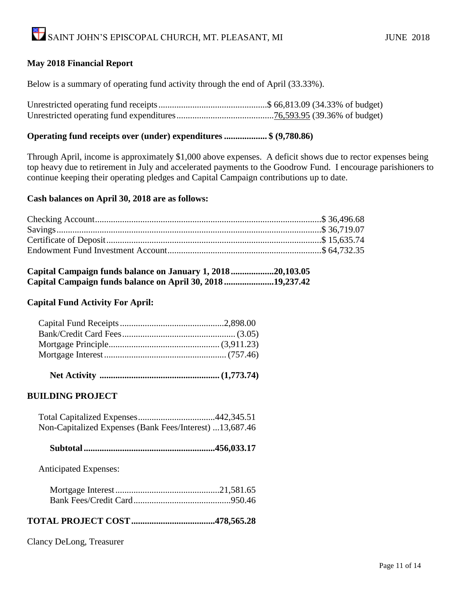#### **May 2018 Financial Report**

Below is a summary of operating fund activity through the end of April (33.33%).

Unrestricted operating fund receipts................................................\$ 66,813.09 (34.33% of budget) Unrestricted operating fund expenditures...........................................76,593.95 (39.36% of budget)

#### **Operating fund receipts over (under) expenditures ................... \$ (9,780.86)**

Through April, income is approximately \$1,000 above expenses. A deficit shows due to rector expenses being top heavy due to retirement in July and accelerated payments to the Goodrow Fund. I encourage parishioners to continue keeping their operating pledges and Capital Campaign contributions up to date.

#### **Cash balances on April 30, 2018 are as follows:**

| Capital Campaign funds balance on January 1, 201820,103.05 |  |
|------------------------------------------------------------|--|
| Capital Campaign funds balance on April 30, 2018 19,237.42 |  |

#### **Capital Fund Activity For April:**

|--|--|--|--|--|--|

#### **BUILDING PROJECT**

| Non-Capitalized Expenses (Bank Fees/Interest) 13,687.46 |  |
|---------------------------------------------------------|--|

|--|--|--|--|

Anticipated Expenses:

#### **TOTAL PROJECT COST.....................................478,565.28**

Clancy DeLong, Treasurer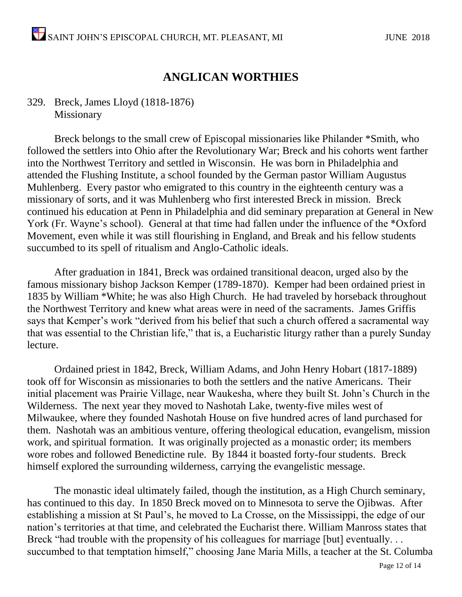#### **ANGLICAN WORTHIES**

#### 329. Breck, James Lloyd (1818-1876) Missionary

Breck belongs to the small crew of Episcopal missionaries like Philander \*Smith, who followed the settlers into Ohio after the Revolutionary War; Breck and his cohorts went farther into the Northwest Territory and settled in Wisconsin. He was born in Philadelphia and attended the Flushing Institute, a school founded by the German pastor William Augustus Muhlenberg. Every pastor who emigrated to this country in the eighteenth century was a missionary of sorts, and it was Muhlenberg who first interested Breck in mission. Breck continued his education at Penn in Philadelphia and did seminary preparation at General in New York (Fr. Wayne's school). General at that time had fallen under the influence of the \*Oxford Movement, even while it was still flourishing in England, and Break and his fellow students succumbed to its spell of ritualism and Anglo-Catholic ideals.

After graduation in 1841, Breck was ordained transitional deacon, urged also by the famous missionary bishop Jackson Kemper (1789-1870). Kemper had been ordained priest in 1835 by William \*White; he was also High Church. He had traveled by horseback throughout the Northwest Territory and knew what areas were in need of the sacraments. James Griffis says that Kemper's work "derived from his belief that such a church offered a sacramental way that was essential to the Christian life," that is, a Eucharistic liturgy rather than a purely Sunday lecture.

Ordained priest in 1842, Breck, William Adams, and John Henry Hobart (1817-1889) took off for Wisconsin as missionaries to both the settlers and the native Americans. Their initial placement was Prairie Village, near Waukesha, where they built St. John's Church in the Wilderness. The next year they moved to Nashotah Lake, twenty-five miles west of Milwaukee, where they founded Nashotah House on five hundred acres of land purchased for them. Nashotah was an ambitious venture, offering theological education, evangelism, mission work, and spiritual formation. It was originally projected as a monastic order; its members wore robes and followed Benedictine rule. By 1844 it boasted forty-four students. Breck himself explored the surrounding wilderness, carrying the evangelistic message.

The monastic ideal ultimately failed, though the institution, as a High Church seminary, has continued to this day. In 1850 Breck moved on to Minnesota to serve the Ojibwas. After establishing a mission at St Paul's, he moved to La Crosse, on the Mississippi, the edge of our nation's territories at that time, and celebrated the Eucharist there. William Manross states that Breck "had trouble with the propensity of his colleagues for marriage [but] eventually... succumbed to that temptation himself," choosing Jane Maria Mills, a teacher at the St. Columba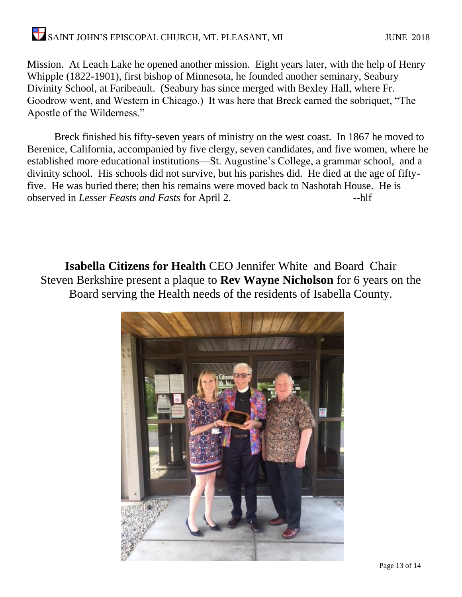#### SAINT JOHN'S EPISCOPAL CHURCH, MT. PLEASANT, MI JUNE 2018

Mission. At Leach Lake he opened another mission. Eight years later, with the help of Henry Whipple (1822-1901), first bishop of Minnesota, he founded another seminary, Seabury Divinity School, at Faribeault. (Seabury has since merged with Bexley Hall, where Fr. Goodrow went, and Western in Chicago.) It was here that Breck earned the sobriquet, "The Apostle of the Wilderness."

Breck finished his fifty-seven years of ministry on the west coast. In 1867 he moved to Berenice, California, accompanied by five clergy, seven candidates, and five women, where he established more educational institutions—St. Augustine's College, a grammar school, and a divinity school. His schools did not survive, but his parishes did. He died at the age of fiftyfive. He was buried there; then his remains were moved back to Nashotah House. He is observed in *Lesser Feasts and Fasts* for April 2.

**Isabella Citizens for Health** CEO Jennifer White and Board Chair Steven Berkshire present a plaque to **Rev Wayne Nicholson** for 6 years on the Board serving the Health needs of the residents of Isabella County.